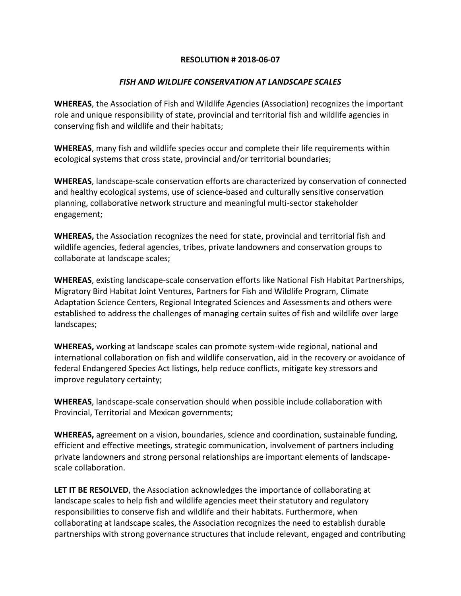## **RESOLUTION # 2018-06-07**

## *FISH AND WILDLIFE CONSERVATION AT LANDSCAPE SCALES*

**WHEREAS**, the Association of Fish and Wildlife Agencies (Association) recognizes the important role and unique responsibility of state, provincial and territorial fish and wildlife agencies in conserving fish and wildlife and their habitats;

**WHEREAS**, many fish and wildlife species occur and complete their life requirements within ecological systems that cross state, provincial and/or territorial boundaries;

**WHEREAS**, landscape-scale conservation efforts are characterized by conservation of connected and healthy ecological systems, use of science-based and culturally sensitive conservation planning, collaborative network structure and meaningful multi-sector stakeholder engagement;

**WHEREAS,** the Association recognizes the need for state, provincial and territorial fish and wildlife agencies, federal agencies, tribes, private landowners and conservation groups to collaborate at landscape scales;

**WHEREAS**, existing landscape-scale conservation efforts like National Fish Habitat Partnerships, Migratory Bird Habitat Joint Ventures, Partners for Fish and Wildlife Program, Climate Adaptation Science Centers, Regional Integrated Sciences and Assessments and others were established to address the challenges of managing certain suites of fish and wildlife over large landscapes;

**WHEREAS,** working at landscape scales can promote system-wide regional, national and international collaboration on fish and wildlife conservation, aid in the recovery or avoidance of federal Endangered Species Act listings, help reduce conflicts, mitigate key stressors and improve regulatory certainty;

**WHEREAS**, landscape-scale conservation should when possible include collaboration with Provincial, Territorial and Mexican governments;

**WHEREAS,** agreement on a vision, boundaries, science and coordination, sustainable funding, efficient and effective meetings, strategic communication, involvement of partners including private landowners and strong personal relationships are important elements of landscapescale collaboration.

**LET IT BE RESOLVED**, the Association acknowledges the importance of collaborating at landscape scales to help fish and wildlife agencies meet their statutory and regulatory responsibilities to conserve fish and wildlife and their habitats. Furthermore, when collaborating at landscape scales, the Association recognizes the need to establish durable partnerships with strong governance structures that include relevant, engaged and contributing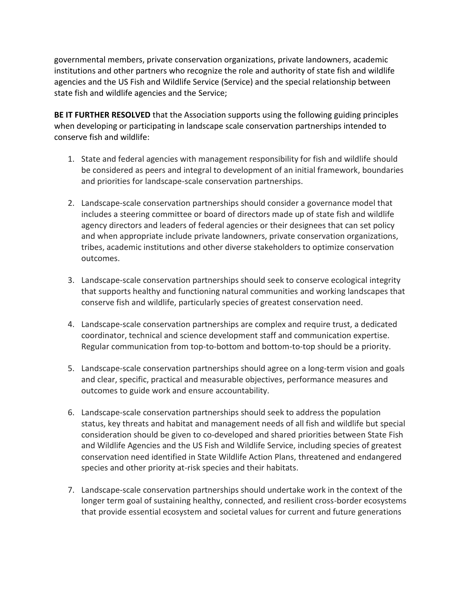governmental members, private conservation organizations, private landowners, academic institutions and other partners who recognize the role and authority of state fish and wildlife agencies and the US Fish and Wildlife Service (Service) and the special relationship between state fish and wildlife agencies and the Service;

**BE IT FURTHER RESOLVED** that the Association supports using the following guiding principles when developing or participating in landscape scale conservation partnerships intended to conserve fish and wildlife:

- 1. State and federal agencies with management responsibility for fish and wildlife should be considered as peers and integral to development of an initial framework, boundaries and priorities for landscape-scale conservation partnerships.
- 2. Landscape-scale conservation partnerships should consider a governance model that includes a steering committee or board of directors made up of state fish and wildlife agency directors and leaders of federal agencies or their designees that can set policy and when appropriate include private landowners, private conservation organizations, tribes, academic institutions and other diverse stakeholders to optimize conservation outcomes.
- 3. Landscape-scale conservation partnerships should seek to conserve ecological integrity that supports healthy and functioning natural communities and working landscapes that conserve fish and wildlife, particularly species of greatest conservation need.
- 4. Landscape-scale conservation partnerships are complex and require trust, a dedicated coordinator, technical and science development staff and communication expertise. Regular communication from top-to-bottom and bottom-to-top should be a priority.
- 5. Landscape-scale conservation partnerships should agree on a long-term vision and goals and clear, specific, practical and measurable objectives, performance measures and outcomes to guide work and ensure accountability.
- 6. Landscape-scale conservation partnerships should seek to address the population status, key threats and habitat and management needs of all fish and wildlife but special consideration should be given to co-developed and shared priorities between State Fish and Wildlife Agencies and the US Fish and Wildlife Service, including species of greatest conservation need identified in State Wildlife Action Plans, threatened and endangered species and other priority at-risk species and their habitats.
- 7. Landscape-scale conservation partnerships should undertake work in the context of the longer term goal of sustaining healthy, connected, and resilient cross-border ecosystems that provide essential ecosystem and societal values for current and future generations